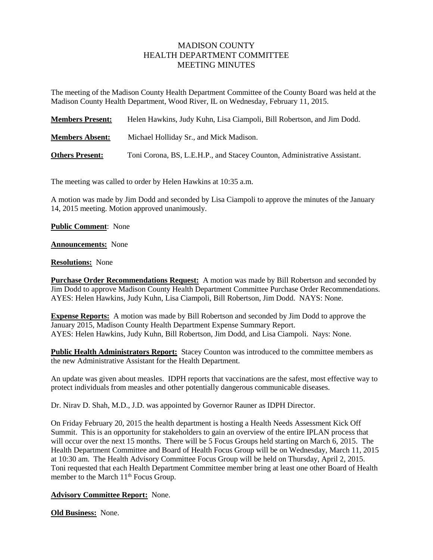## MADISON COUNTY HEALTH DEPARTMENT COMMITTEE MEETING MINUTES

The meeting of the Madison County Health Department Committee of the County Board was held at the Madison County Health Department, Wood River, IL on Wednesday, February 11, 2015.

| <b>Members Present:</b> | Helen Hawkins, Judy Kuhn, Lisa Ciampoli, Bill Robertson, and Jim Dodd.   |
|-------------------------|--------------------------------------------------------------------------|
| <b>Members Absent:</b>  | Michael Holliday Sr., and Mick Madison.                                  |
| <b>Others Present:</b>  | Toni Corona, BS, L.E.H.P., and Stacey Counton, Administrative Assistant. |

The meeting was called to order by Helen Hawkins at 10:35 a.m.

A motion was made by Jim Dodd and seconded by Lisa Ciampoli to approve the minutes of the January 14, 2015 meeting. Motion approved unanimously.

**Public Comment**: None

**Announcements:** None

## **Resolutions:** None

**Purchase Order Recommendations Request:** A motion was made by Bill Robertson and seconded by Jim Dodd to approve Madison County Health Department Committee Purchase Order Recommendations. AYES: Helen Hawkins, Judy Kuhn, Lisa Ciampoli, Bill Robertson, Jim Dodd. NAYS: None.

**Expense Reports:** A motion was made by Bill Robertson and seconded by Jim Dodd to approve the January 2015, Madison County Health Department Expense Summary Report. AYES: Helen Hawkins, Judy Kuhn, Bill Robertson, Jim Dodd, and Lisa Ciampoli. Nays: None.

**Public Health Administrators Report:** Stacey Counton was introduced to the committee members as the new Administrative Assistant for the Health Department.

An update was given about measles. IDPH reports that vaccinations are the safest, most effective way to protect individuals from measles and other potentially dangerous communicable diseases.

Dr. Nirav D. Shah, M.D., J.D. was appointed by Governor Rauner as IDPH Director.

On Friday February 20, 2015 the health department is hosting a Health Needs Assessment Kick Off Summit. This is an opportunity for stakeholders to gain an overview of the entire IPLAN process that will occur over the next 15 months. There will be 5 Focus Groups held starting on March 6, 2015. The Health Department Committee and Board of Health Focus Group will be on Wednesday, March 11, 2015 at 10:30 am. The Health Advisory Committee Focus Group will be held on Thursday, April 2, 2015. Toni requested that each Health Department Committee member bring at least one other Board of Health member to the March  $11<sup>th</sup>$  Focus Group.

## **Advisory Committee Report:** None.

**Old Business:** None.